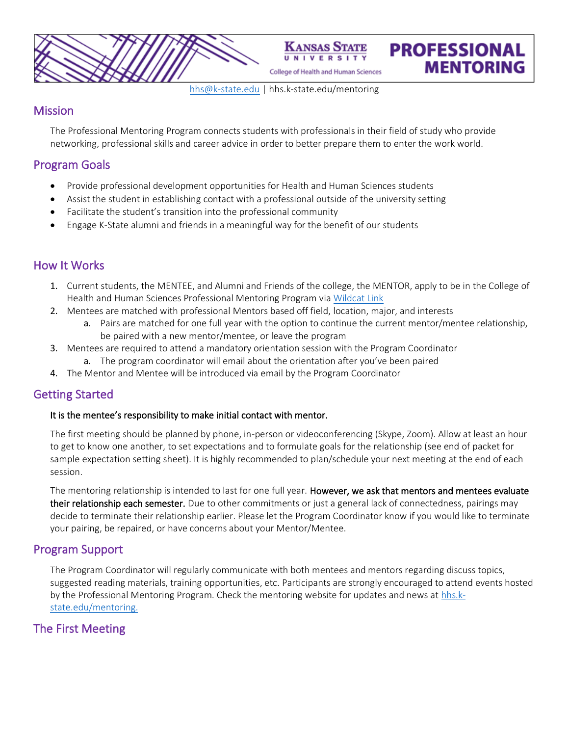**UNIVERSITY** College of Health and Human Sciences

**KANSAS** 

**PROFESSIONAL** 

**MENTORING** 

[hhs@k-state.edu](mailto:Mentoradmin@k-state.edu) | hhs.k-state.edu/mentoring

### **Mission**

The Professional Mentoring Program connects students with professionals in their field of study who provide networking, professional skills and career advice in order to better prepare them to enter the work world.

# Program Goals

- Provide professional development opportunities for Health and Human Sciences students
- Assist the student in establishing contact with a professional outside of the university setting
- Facilitate the student's transition into the professional community
- Engage K-State alumni and friends in a meaningful way for the benefit of our students

# How It Works

- 1. Current students, the MENTEE, and Alumni and Friends of the college, the MENTOR, apply to be in the College of Health and Human Sciences Professional Mentoring Program vi[a Wildcat Link](https://wildcatlink.ksu.edu/hub/wildcatlink/program/college-of-health-and-human-sciences-mentoring-program/about)
- 2. Mentees are matched with professional Mentors based off field, location, major, and interests
	- a. Pairs are matched for one full year with the option to continue the current mentor/mentee relationship, be paired with a new mentor/mentee, or leave the program
- 3. Mentees are required to attend a mandatory orientation session with the Program Coordinator
	- a. The program coordinator will email about the orientation after you've been paired
- 4. The Mentor and Mentee will be introduced via email by the Program Coordinator

## Getting Started

#### It is the mentee's responsibility to make initial contact with mentor.

The first meeting should be planned by phone, in-person or videoconferencing (Skype, Zoom). Allow at least an hour to get to know one another, to set expectations and to formulate goals for the relationship (see end of packet for sample expectation setting sheet). It is highly recommended to plan/schedule your next meeting at the end of each session.

The mentoring relationship is intended to last for one full year. However, we ask that mentors and mentees evaluate their relationship each semester. Due to other commitments or just a general lack of connectedness, pairings may decide to terminate their relationship earlier. Please let the Program Coordinator know if you would like to terminate your pairing, be repaired, or have concerns about your Mentor/Mentee.

## Program Support

The Program Coordinator will regularly communicate with both mentees and mentors regarding discuss topics, suggested reading materials, training opportunities, etc. Participants are strongly encouraged to attend events hosted by the Professional Mentoring Program. Check the mentoring website for updates and news a[t hhs.k](https://www.hhs.k-state.edu/students/services/mentoring/)[state.edu/mentoring.](https://www.hhs.k-state.edu/students/services/mentoring/)

# The First Meeting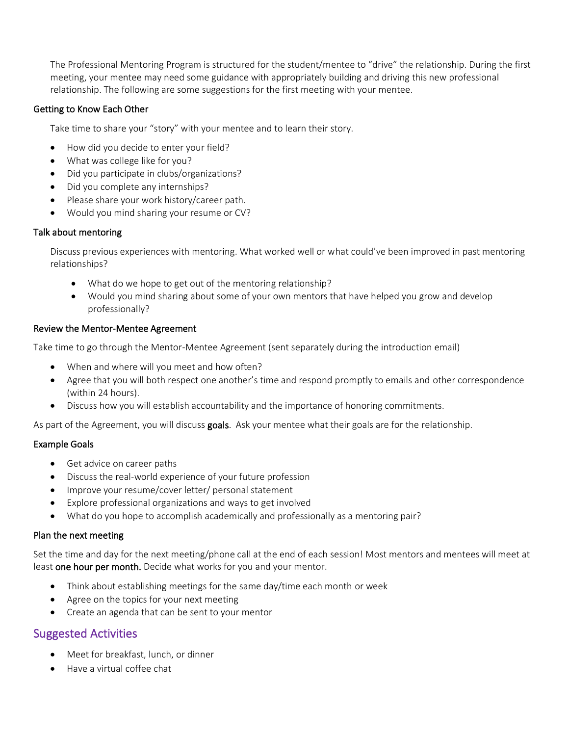The Professional Mentoring Program is structured for the student/mentee to "drive" the relationship. During the first meeting, your mentee may need some guidance with appropriately building and driving this new professional relationship. The following are some suggestions for the first meeting with your mentee.

### Getting to Know Each Other

Take time to share your "story" with your mentee and to learn their story.

- How did you decide to enter your field?
- What was college like for you?
- Did you participate in clubs/organizations?
- Did you complete any internships?
- Please share your work history/career path.
- Would you mind sharing your resume or CV?

### Talk about mentoring

Discuss previous experiences with mentoring. What worked well or what could've been improved in past mentoring relationships?

- What do we hope to get out of the mentoring relationship?
- Would you mind sharing about some of your own mentors that have helped you grow and develop professionally?

### Review the Mentor-Mentee Agreement

Take time to go through the Mentor-Mentee Agreement (sent separately during the introduction email)

- When and where will you meet and how often?
- Agree that you will both respect one another's time and respond promptly to emails and other correspondence (within 24 hours).
- Discuss how you will establish accountability and the importance of honoring commitments.

As part of the Agreement, you will discuss goals. Ask your mentee what their goals are for the relationship.

#### Example Goals

- Get advice on career paths
- Discuss the real-world experience of your future profession
- Improve your resume/cover letter/ personal statement
- Explore professional organizations and ways to get involved
- What do you hope to accomplish academically and professionally as a mentoring pair?

#### Plan the next meeting

Set the time and day for the next meeting/phone call at the end of each session! Most mentors and mentees will meet at least one hour per month. Decide what works for you and your mentor.

- Think about establishing meetings for the same day/time each month or week
- Agree on the topics for your next meeting
- Create an agenda that can be sent to your mentor

## Suggested Activities

- Meet for breakfast, lunch, or dinner
- Have a virtual coffee chat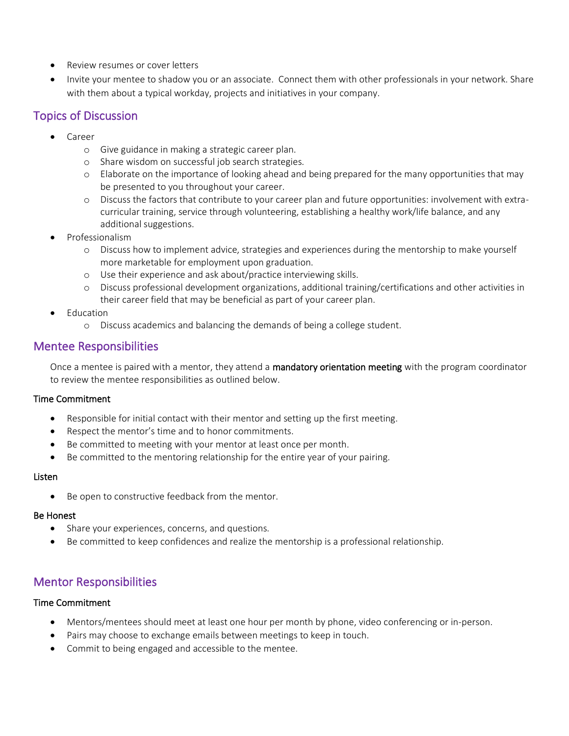- Review resumes or cover letters
- Invite your mentee to shadow you or an associate. Connect them with other professionals in your network. Share with them about a typical workday, projects and initiatives in your company.

# Topics of Discussion

- Career
	- o Give guidance in making a strategic career plan.
	- o Share wisdom on successful job search strategies.
	- $\circ$  Elaborate on the importance of looking ahead and being prepared for the many opportunities that may be presented to you throughout your career.
	- o Discuss the factors that contribute to your career plan and future opportunities: involvement with extracurricular training, service through volunteering, establishing a healthy work/life balance, and any additional suggestions.
- Professionalism
	- o Discuss how to implement advice, strategies and experiences during the mentorship to make yourself more marketable for employment upon graduation.
	- o Use their experience and ask about/practice interviewing skills.
	- o Discuss professional development organizations, additional training/certifications and other activities in their career field that may be beneficial as part of your career plan.
- **Education** 
	- o Discuss academics and balancing the demands of being a college student.

# Mentee Responsibilities

Once a mentee is paired with a mentor, they attend a mandatory orientation meeting with the program coordinator to review the mentee responsibilities as outlined below.

### Time Commitment

- Responsible for initial contact with their mentor and setting up the first meeting.
- Respect the mentor's time and to honor commitments.
- Be committed to meeting with your mentor at least once per month.
- Be committed to the mentoring relationship for the entire year of your pairing.

#### Listen

• Be open to constructive feedback from the mentor.

### Be Honest

- Share your experiences, concerns, and questions.
- Be committed to keep confidences and realize the mentorship is a professional relationship.

# Mentor Responsibilities

#### Time Commitment

- Mentors/mentees should meet at least one hour per month by phone, video conferencing or in-person.
- Pairs may choose to exchange emails between meetings to keep in touch.
- Commit to being engaged and accessible to the mentee.